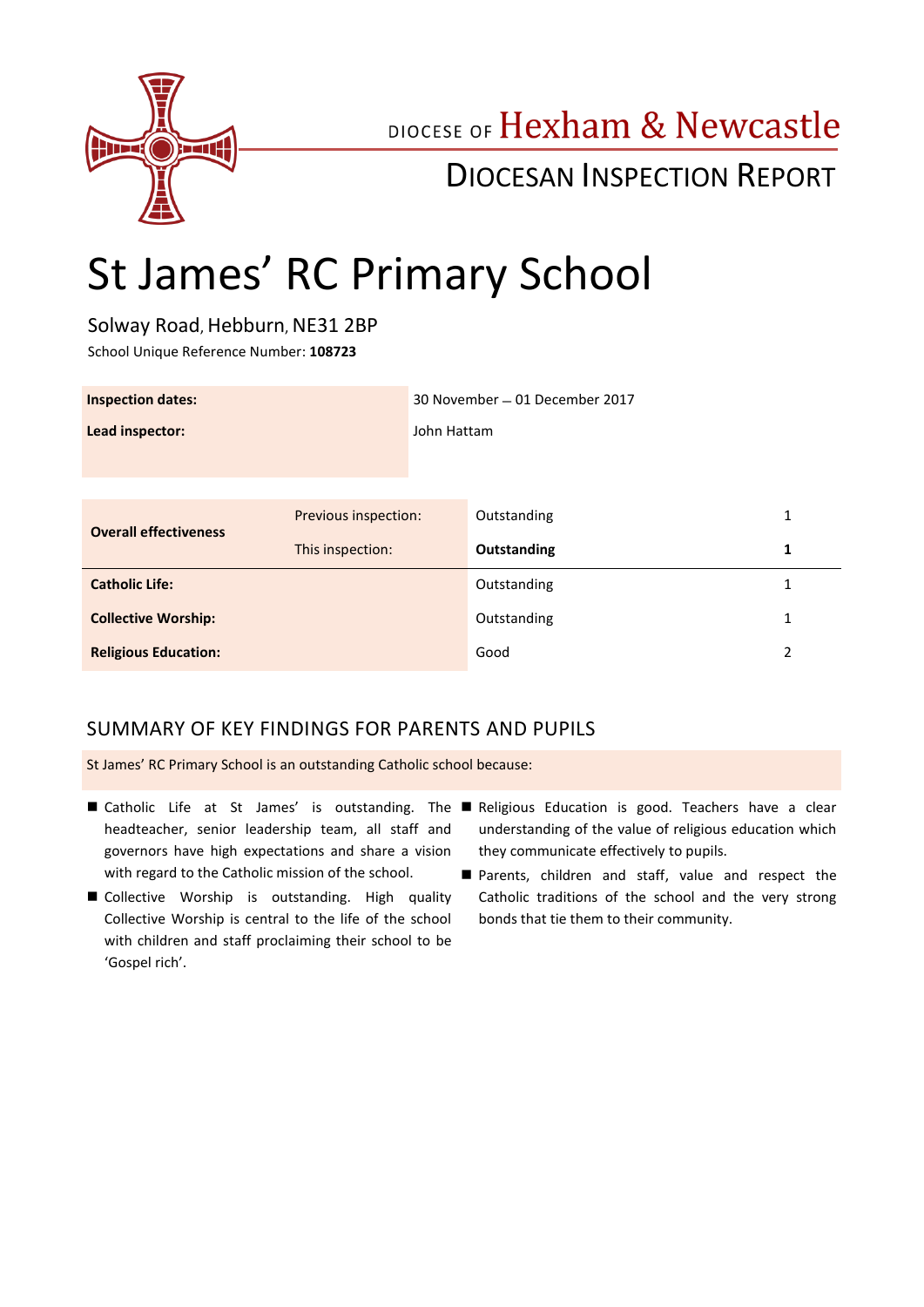

## DIOCESE OF Hexham & Newcastle

## DIOCESAN INSPECTION REPORT

# St James' RC Primary School

Solway Road, Hebburn, NE31 2BP

School Unique Reference Number: **108723**

| <b>Inspection dates:</b>     |                      | 30 November - 01 December 2017 |             |   |
|------------------------------|----------------------|--------------------------------|-------------|---|
| Lead inspector:              |                      | John Hattam                    |             |   |
|                              |                      |                                |             |   |
| <b>Overall effectiveness</b> |                      |                                | Outstanding | 1 |
|                              | Previous inspection: |                                |             |   |
|                              | This inspection:     |                                | Outstanding | 1 |
| <b>Catholic Life:</b>        |                      |                                | Outstanding | 1 |
| <b>Collective Worship:</b>   |                      |                                | Outstanding | 1 |
| <b>Religious Education:</b>  |                      |                                | Good        | 2 |

## SUMMARY OF KEY FINDINGS FOR PARENTS AND PUPILS

St James' RC Primary School is an outstanding Catholic school because:

- headteacher, senior leadership team, all staff and governors have high expectations and share a vision with regard to the Catholic mission of the school.
- Collective Worship is outstanding. High quality Collective Worship is central to the life of the school with children and staff proclaiming their school to be 'Gospel rich'.
- Catholic Life at St James' is outstanding. The Religious Education is good. Teachers have a clear understanding of the value of religious education which they communicate effectively to pupils.
	- **Parents, children and staff, value and respect the** Catholic traditions of the school and the very strong bonds that tie them to their community.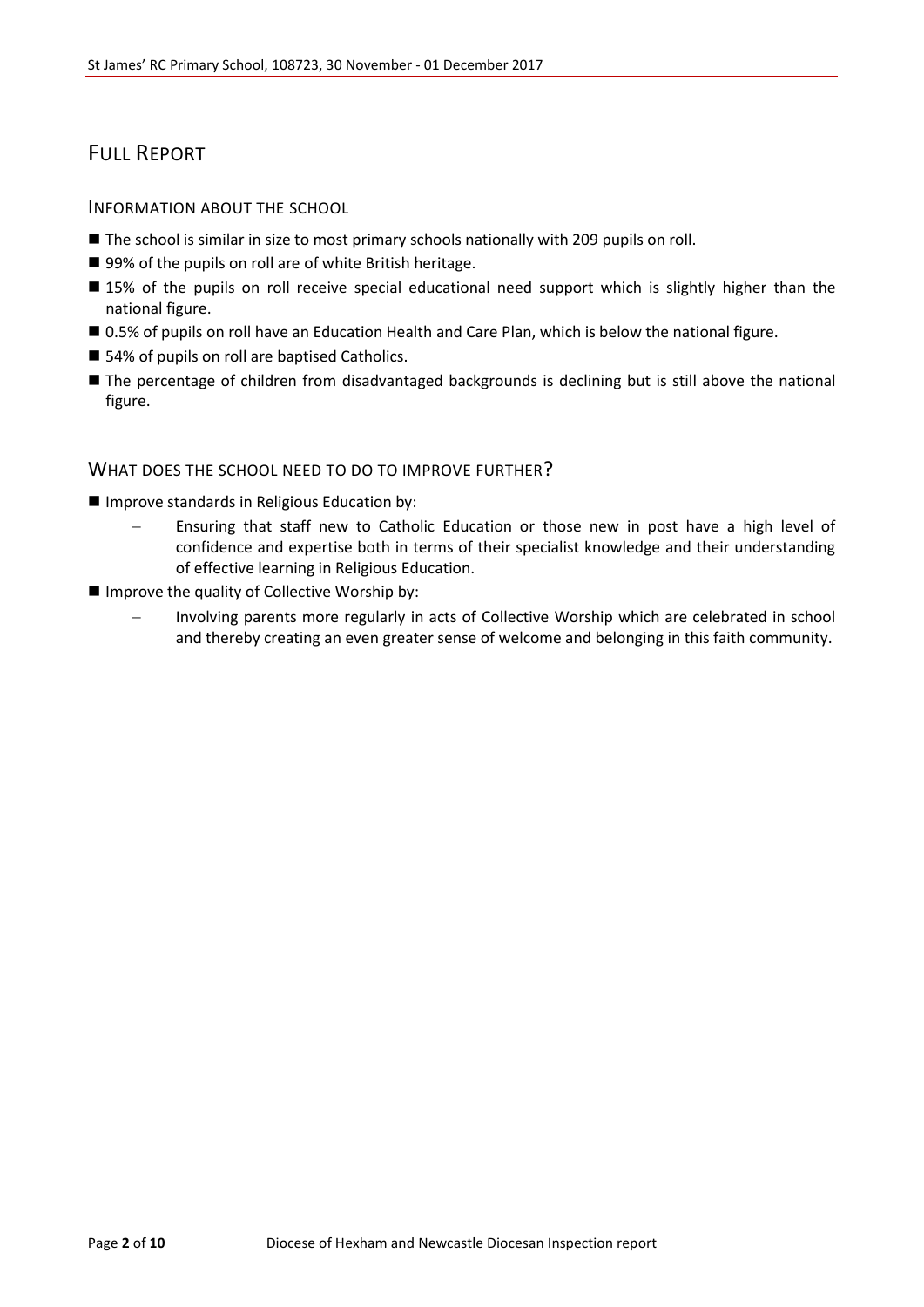## FULL REPORT

#### INFORMATION ABOUT THE SCHOOL

- **The school is similar in size to most primary schools nationally with 209 pupils on roll.**
- 99% of the pupils on roll are of white British heritage.
- 15% of the pupils on roll receive special educational need support which is slightly higher than the national figure.
- 0.5% of pupils on roll have an Education Health and Care Plan, which is below the national figure.
- 54% of pupils on roll are baptised Catholics.
- The percentage of children from disadvantaged backgrounds is declining but is still above the national figure.

#### WHAT DOES THE SCHOOL NEED TO DO TO IMPROVE FURTHER?

- **Improve standards in Religious Education by:** 
	- Ensuring that staff new to Catholic Education or those new in post have a high level of confidence and expertise both in terms of their specialist knowledge and their understanding of effective learning in Religious Education.
- Improve the quality of Collective Worship by:
	- Involving parents more regularly in acts of Collective Worship which are celebrated in school and thereby creating an even greater sense of welcome and belonging in this faith community.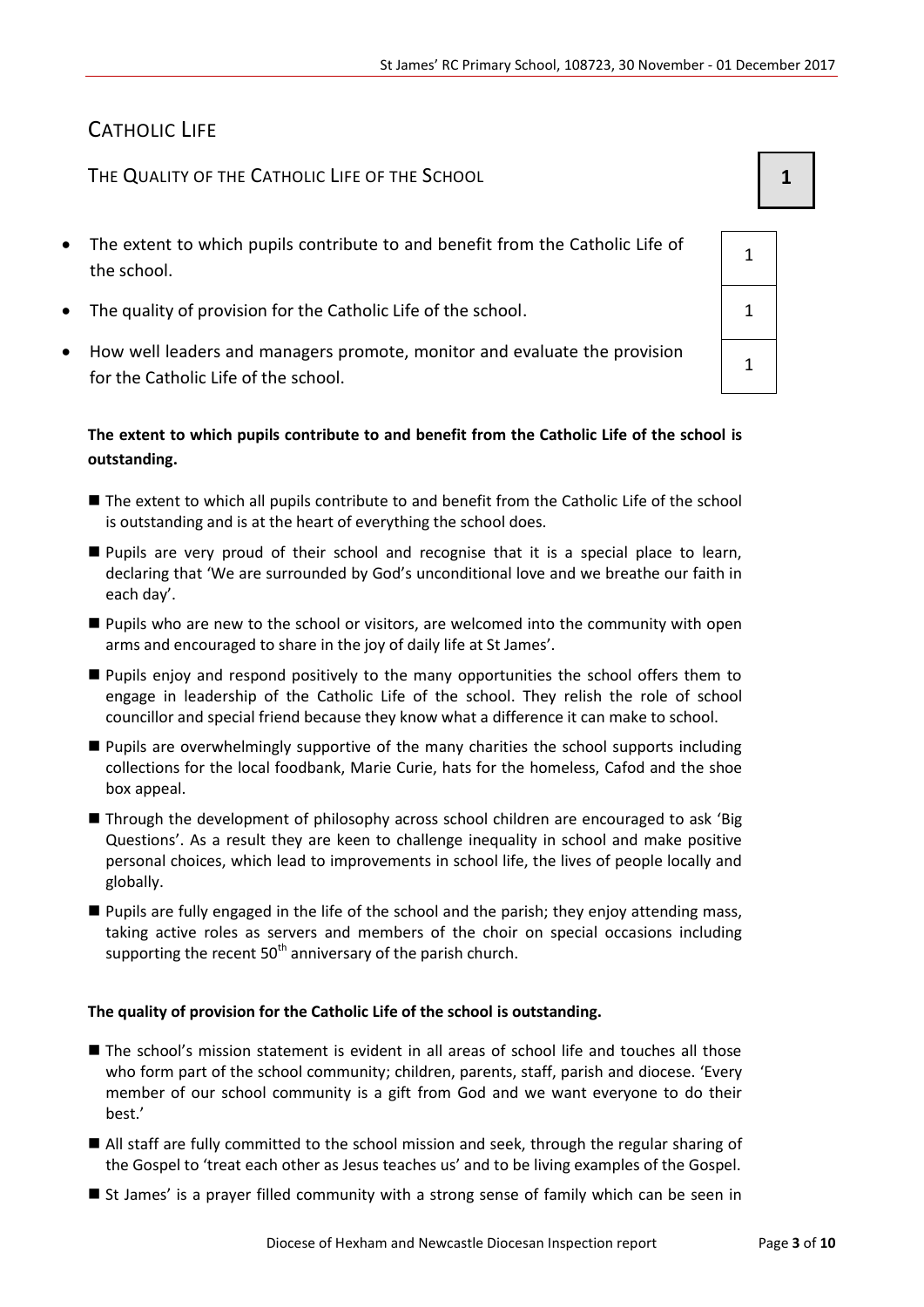## CATHOLIC LIFE

THE QUALITY OF THE CATHOLIC LIFE OF THE SCHOOL **1 1** 

- The extent to which pupils contribute to and benefit from the Catholic Life of the school.
- The quality of provision for the Catholic Life of the school.  $\vert$  1
- How well leaders and managers promote, monitor and evaluate the provision for the Catholic Life of the school.

#### **The extent to which pupils contribute to and benefit from the Catholic Life of the school is outstanding.**

- The extent to which all pupils contribute to and benefit from the Catholic Life of the school is outstanding and is at the heart of everything the school does.
- Pupils are very proud of their school and recognise that it is a special place to learn, declaring that 'We are surrounded by God's unconditional love and we breathe our faith in each day'.
- **Pupils who are new to the school or visitors, are welcomed into the community with open** arms and encouraged to share in the joy of daily life at St James'.
- **Pupils enjoy and respond positively to the many opportunities the school offers them to** engage in leadership of the Catholic Life of the school. They relish the role of school councillor and special friend because they know what a difference it can make to school.
- Pupils are overwhelmingly supportive of the many charities the school supports including collections for the local foodbank, Marie Curie, hats for the homeless, Cafod and the shoe box appeal.
- Through the development of philosophy across school children are encouraged to ask 'Big Questions'. As a result they are keen to challenge inequality in school and make positive personal choices, which lead to improvements in school life, the lives of people locally and globally.
- **Pupils are fully engaged in the life of the school and the parish; they enjoy attending mass,** taking active roles as servers and members of the choir on special occasions including supporting the recent  $50<sup>th</sup>$  anniversary of the parish church.

#### **The quality of provision for the Catholic Life of the school is outstanding.**

- The school's mission statement is evident in all areas of school life and touches all those who form part of the school community; children, parents, staff, parish and diocese. 'Every member of our school community is a gift from God and we want everyone to do their best.'
- All staff are fully committed to the school mission and seek, through the regular sharing of the Gospel to 'treat each other as Jesus teaches us' and to be living examples of the Gospel.
- St James' is a prayer filled community with a strong sense of family which can be seen in

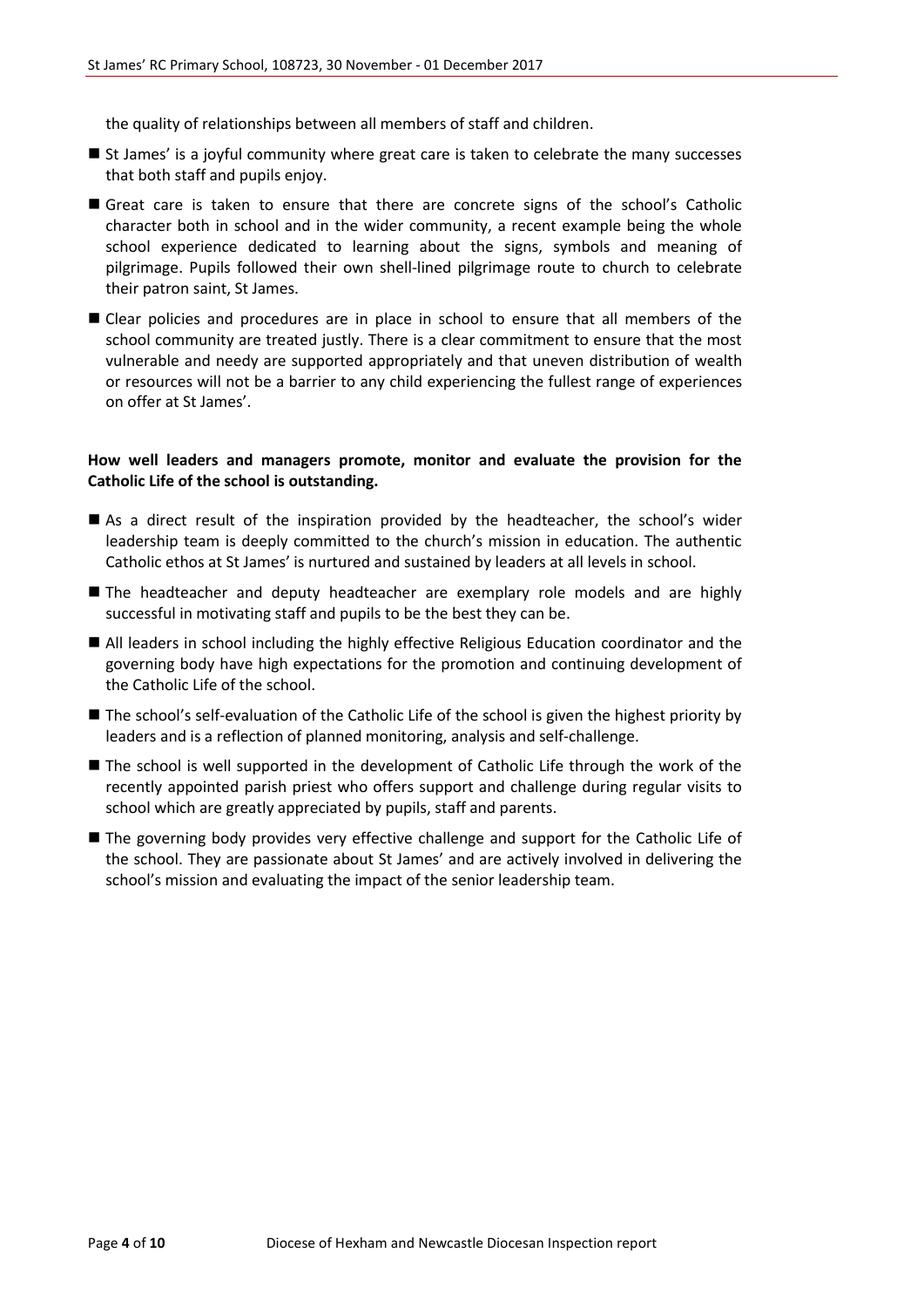the quality of relationships between all members of staff and children.

- **St James' is a joyful community where great care is taken to celebrate the many successes** that both staff and pupils enjoy.
- Great care is taken to ensure that there are concrete signs of the school's Catholic character both in school and in the wider community, a recent example being the whole school experience dedicated to learning about the signs, symbols and meaning of pilgrimage. Pupils followed their own shell-lined pilgrimage route to church to celebrate their patron saint, St James.
- Clear policies and procedures are in place in school to ensure that all members of the school community are treated justly. There is a clear commitment to ensure that the most vulnerable and needy are supported appropriately and that uneven distribution of wealth or resources will not be a barrier to any child experiencing the fullest range of experiences on offer at St James'.

#### **How well leaders and managers promote, monitor and evaluate the provision for the Catholic Life of the school is outstanding.**

- As a direct result of the inspiration provided by the headteacher, the school's wider leadership team is deeply committed to the church's mission in education. The authentic Catholic ethos at St James' is nurtured and sustained by leaders at all levels in school.
- The headteacher and deputy headteacher are exemplary role models and are highly successful in motivating staff and pupils to be the best they can be.
- All leaders in school including the highly effective Religious Education coordinator and the governing body have high expectations for the promotion and continuing development of the Catholic Life of the school.
- The school's self-evaluation of the Catholic Life of the school is given the highest priority by leaders and is a reflection of planned monitoring, analysis and self-challenge.
- The school is well supported in the development of Catholic Life through the work of the recently appointed parish priest who offers support and challenge during regular visits to school which are greatly appreciated by pupils, staff and parents.
- The governing body provides very effective challenge and support for the Catholic Life of the school. They are passionate about St James' and are actively involved in delivering the school's mission and evaluating the impact of the senior leadership team.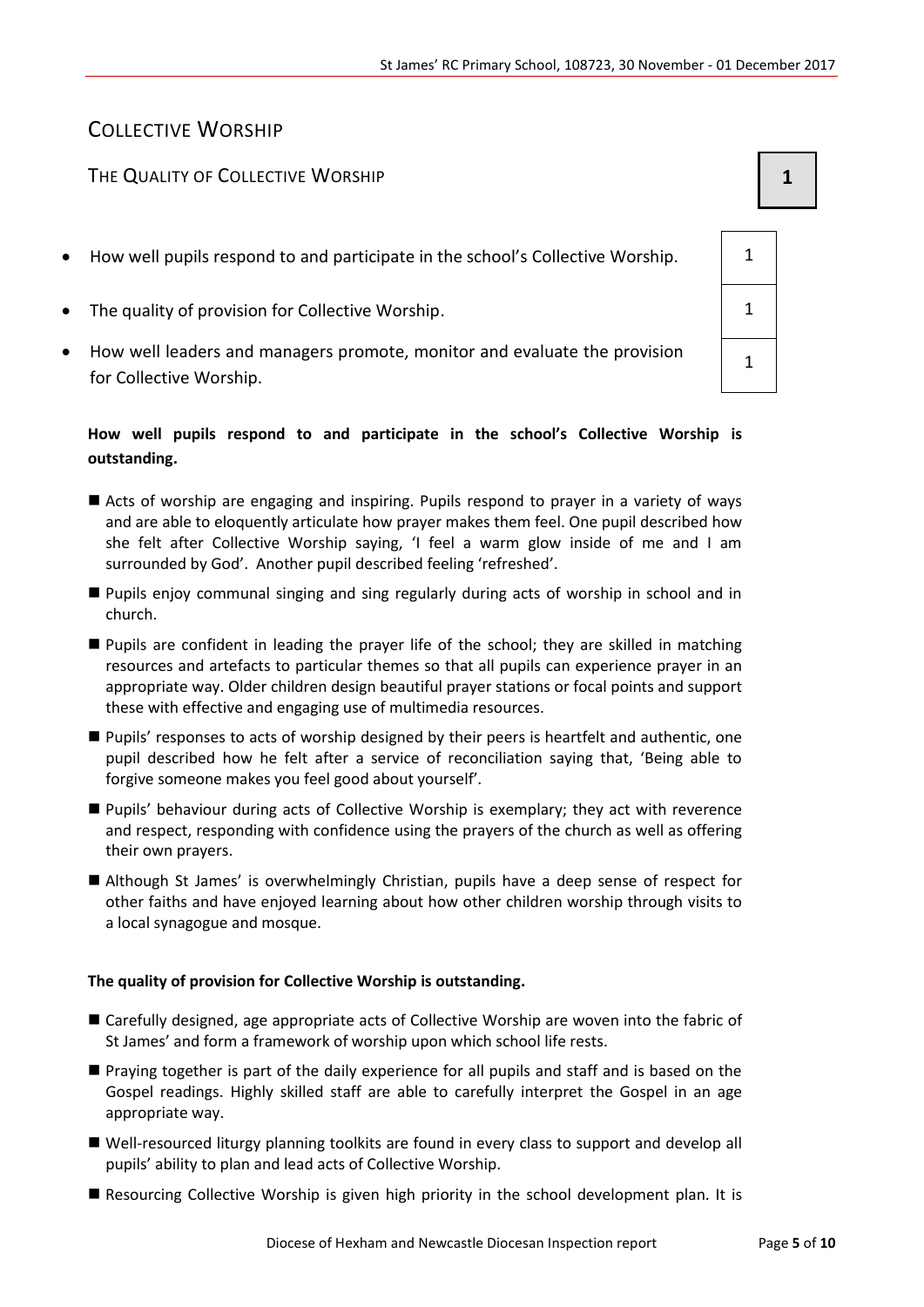## COLLECTIVE WORSHIP

#### The Quality of Collective Worship **1 1**

- How well pupils respond to and participate in the school's Collective Worship.  $\vert$  1
- The quality of provision for Collective Worship. The quality of provision for Collective Worship.
- How well leaders and managers promote, monitor and evaluate the provision for Collective Worship.

#### **How well pupils respond to and participate in the school's Collective Worship is outstanding.**

- Acts of worship are engaging and inspiring. Pupils respond to prayer in a variety of ways and are able to eloquently articulate how prayer makes them feel. One pupil described how she felt after Collective Worship saying, 'I feel a warm glow inside of me and I am surrounded by God'. Another pupil described feeling 'refreshed'.
- Pupils enjoy communal singing and sing regularly during acts of worship in school and in church.
- Pupils are confident in leading the prayer life of the school; they are skilled in matching resources and artefacts to particular themes so that all pupils can experience prayer in an appropriate way. Older children design beautiful prayer stations or focal points and support these with effective and engaging use of multimedia resources.
- Pupils' responses to acts of worship designed by their peers is heartfelt and authentic, one pupil described how he felt after a service of reconciliation saying that, 'Being able to forgive someone makes you feel good about yourself'.
- Pupils' behaviour during acts of Collective Worship is exemplary; they act with reverence and respect, responding with confidence using the prayers of the church as well as offering their own prayers.
- Although St James' is overwhelmingly Christian, pupils have a deep sense of respect for other faiths and have enjoyed learning about how other children worship through visits to a local synagogue and mosque.

#### **The quality of provision for Collective Worship is outstanding.**

- Carefully designed, age appropriate acts of Collective Worship are woven into the fabric of St James' and form a framework of worship upon which school life rests.
- Praying together is part of the daily experience for all pupils and staff and is based on the Gospel readings. Highly skilled staff are able to carefully interpret the Gospel in an age appropriate way.
- Well-resourced liturgy planning toolkits are found in every class to support and develop all pupils' ability to plan and lead acts of Collective Worship.
- Resourcing Collective Worship is given high priority in the school development plan. It is

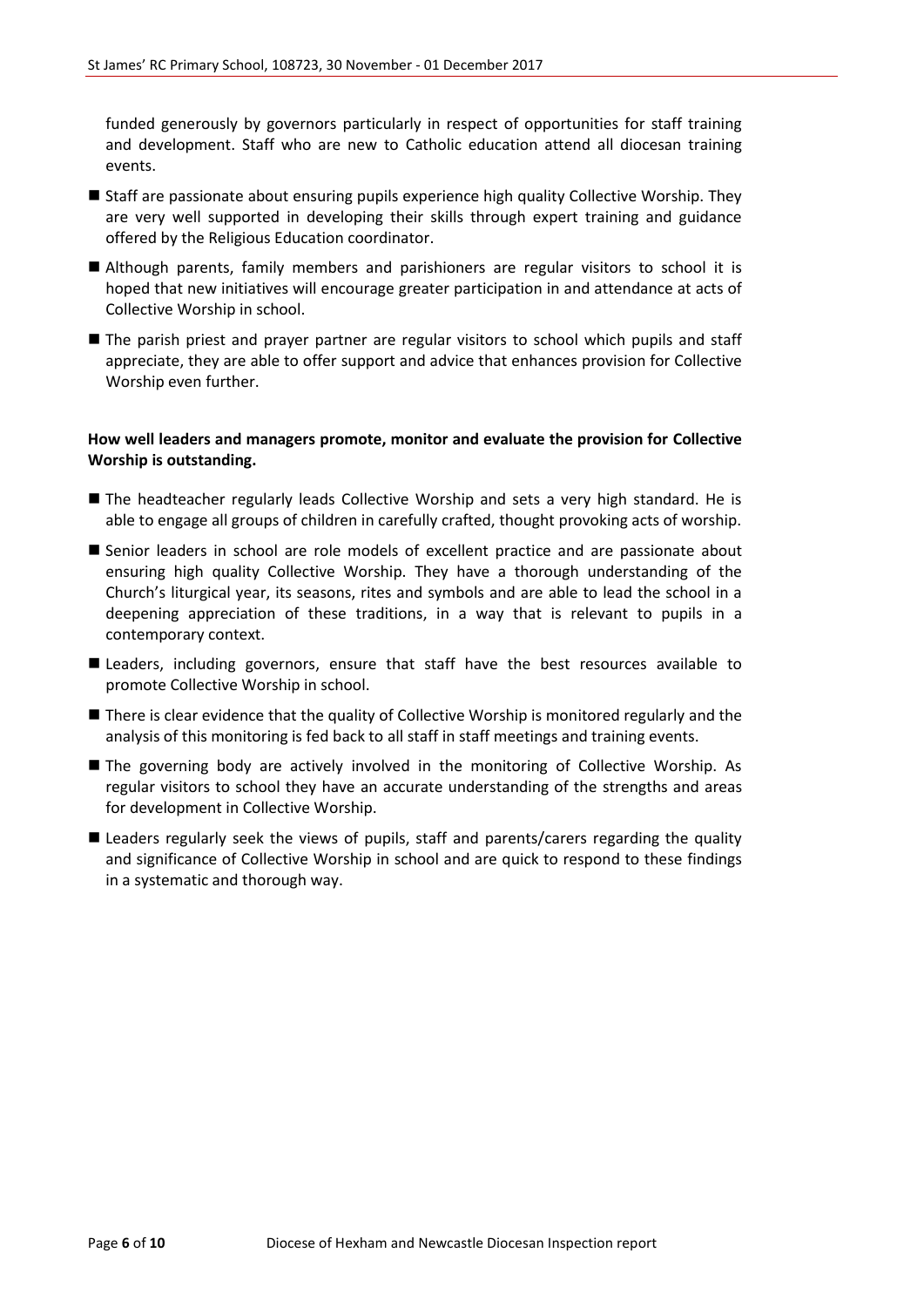funded generously by governors particularly in respect of opportunities for staff training and development. Staff who are new to Catholic education attend all diocesan training events.

- **Staff are passionate about ensuring pupils experience high quality Collective Worship. They** are very well supported in developing their skills through expert training and guidance offered by the Religious Education coordinator.
- Although parents, family members and parishioners are regular visitors to school it is hoped that new initiatives will encourage greater participation in and attendance at acts of Collective Worship in school.
- The parish priest and prayer partner are regular visitors to school which pupils and staff appreciate, they are able to offer support and advice that enhances provision for Collective Worship even further.

#### **How well leaders and managers promote, monitor and evaluate the provision for Collective Worship is outstanding.**

- The headteacher regularly leads Collective Worship and sets a very high standard. He is able to engage all groups of children in carefully crafted, thought provoking acts of worship.
- Senior leaders in school are role models of excellent practice and are passionate about ensuring high quality Collective Worship. They have a thorough understanding of the Church's liturgical year, its seasons, rites and symbols and are able to lead the school in a deepening appreciation of these traditions, in a way that is relevant to pupils in a contemporary context.
- **Leaders, including governors, ensure that staff have the best resources available to** promote Collective Worship in school.
- **There is clear evidence that the quality of Collective Worship is monitored regularly and the** analysis of this monitoring is fed back to all staff in staff meetings and training events.
- The governing body are actively involved in the monitoring of Collective Worship. As regular visitors to school they have an accurate understanding of the strengths and areas for development in Collective Worship.
- Leaders regularly seek the views of pupils, staff and parents/carers regarding the quality and significance of Collective Worship in school and are quick to respond to these findings in a systematic and thorough way.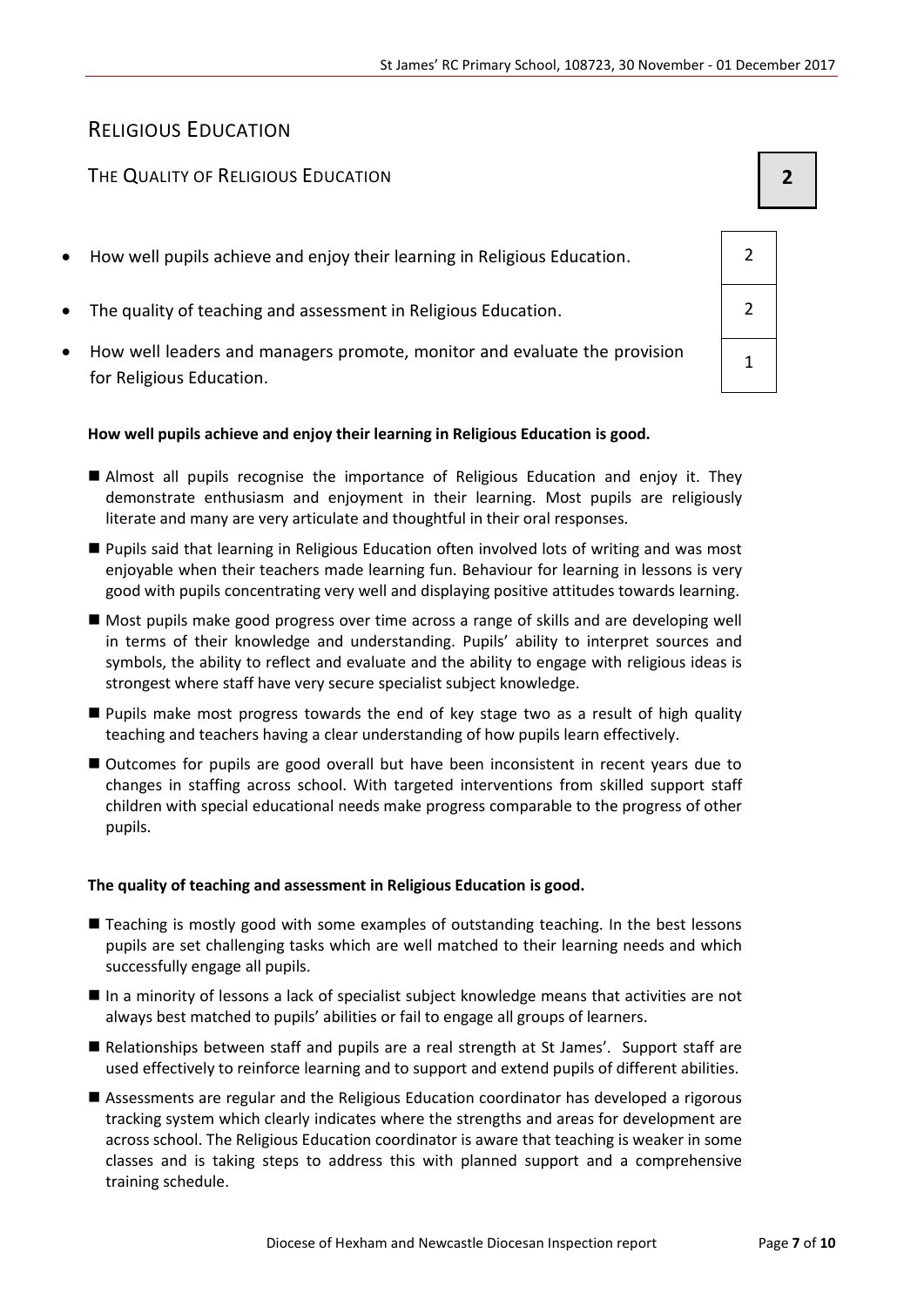### RELIGIOUS EDUCATION

#### THE QUALITY OF RELIGIOUS EDUCATION **2**

- How well pupils achieve and enjoy their learning in Religious Education. 2
- The quality of teaching and assessment in Religious Education. 2
- How well leaders and managers promote, monitor and evaluate the provision for Religious Education.

#### **How well pupils achieve and enjoy their learning in Religious Education is good.**

- Almost all pupils recognise the importance of Religious Education and enjoy it. They demonstrate enthusiasm and enjoyment in their learning. Most pupils are religiously literate and many are very articulate and thoughtful in their oral responses.
- Pupils said that learning in Religious Education often involved lots of writing and was most enjoyable when their teachers made learning fun. Behaviour for learning in lessons is very good with pupils concentrating very well and displaying positive attitudes towards learning.
- Most pupils make good progress over time across a range of skills and are developing well in terms of their knowledge and understanding. Pupils' ability to interpret sources and symbols, the ability to reflect and evaluate and the ability to engage with religious ideas is strongest where staff have very secure specialist subject knowledge.
- **Pupils make most progress towards the end of key stage two as a result of high quality** teaching and teachers having a clear understanding of how pupils learn effectively.
- Outcomes for pupils are good overall but have been inconsistent in recent years due to changes in staffing across school. With targeted interventions from skilled support staff children with special educational needs make progress comparable to the progress of other pupils.

#### **The quality of teaching and assessment in Religious Education is good.**

- Teaching is mostly good with some examples of outstanding teaching. In the best lessons pupils are set challenging tasks which are well matched to their learning needs and which successfully engage all pupils.
- In a minority of lessons a lack of specialist subject knowledge means that activities are not always best matched to pupils' abilities or fail to engage all groups of learners.
- Relationships between staff and pupils are a real strength at St James'. Support staff are used effectively to reinforce learning and to support and extend pupils of different abilities.
- Assessments are regular and the Religious Education coordinator has developed a rigorous tracking system which clearly indicates where the strengths and areas for development are across school. The Religious Education coordinator is aware that teaching is weaker in some classes and is taking steps to address this with planned support and a comprehensive training schedule.

|                          | I |  |
|--------------------------|---|--|
|                          |   |  |
| $\overline{2}$           |   |  |
| $\overline{\mathcal{L}}$ |   |  |
|                          |   |  |

1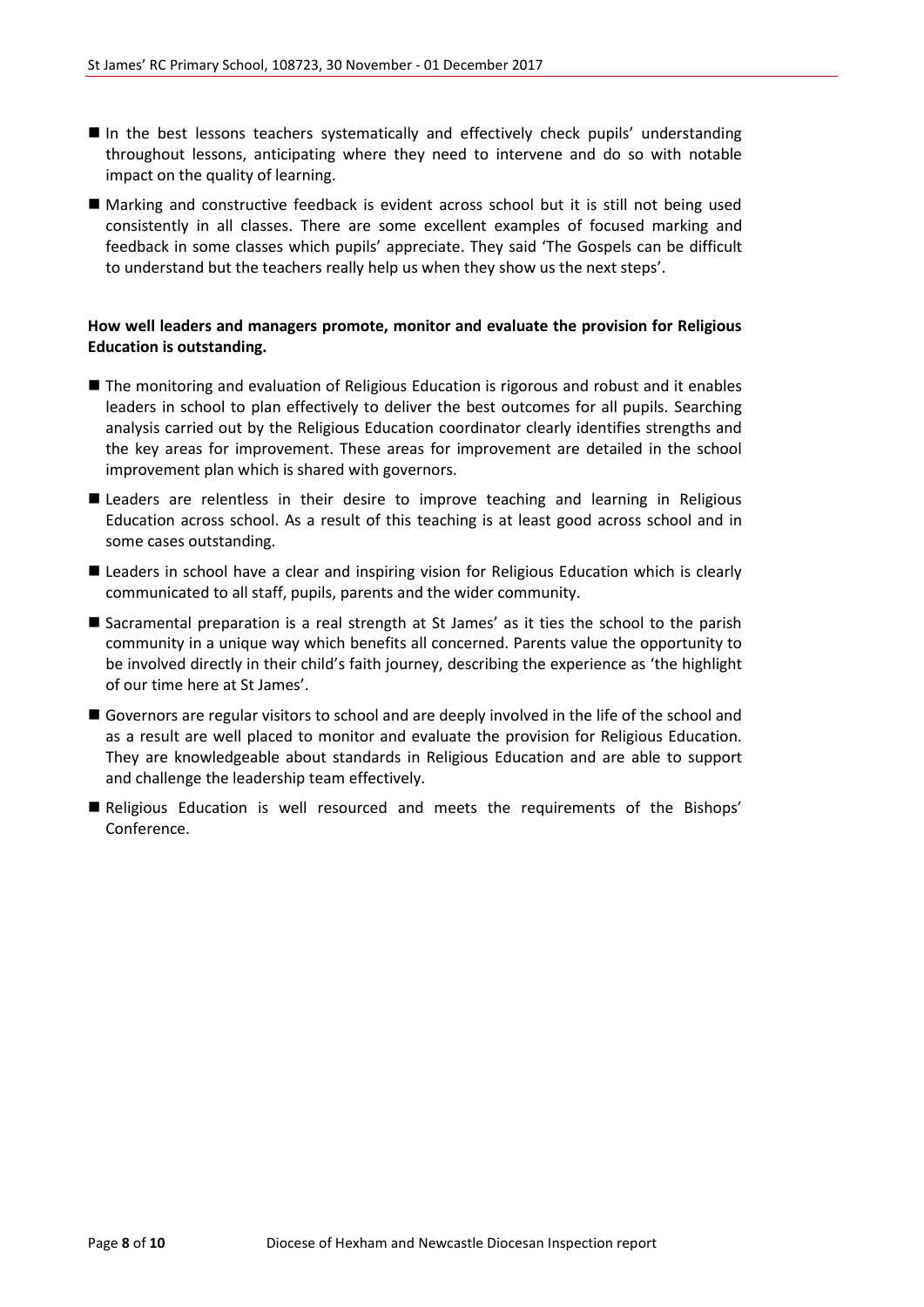- In the best lessons teachers systematically and effectively check pupils' understanding throughout lessons, anticipating where they need to intervene and do so with notable impact on the quality of learning.
- Marking and constructive feedback is evident across school but it is still not being used consistently in all classes. There are some excellent examples of focused marking and feedback in some classes which pupils' appreciate. They said 'The Gospels can be difficult to understand but the teachers really help us when they show us the next steps'.

#### **How well leaders and managers promote, monitor and evaluate the provision for Religious Education is outstanding.**

- The monitoring and evaluation of Religious Education is rigorous and robust and it enables leaders in school to plan effectively to deliver the best outcomes for all pupils. Searching analysis carried out by the Religious Education coordinator clearly identifies strengths and the key areas for improvement. These areas for improvement are detailed in the school improvement plan which is shared with governors.
- **E** Leaders are relentless in their desire to improve teaching and learning in Religious Education across school. As a result of this teaching is at least good across school and in some cases outstanding.
- Leaders in school have a clear and inspiring vision for Religious Education which is clearly communicated to all staff, pupils, parents and the wider community.
- Sacramental preparation is a real strength at St James' as it ties the school to the parish community in a unique way which benefits all concerned. Parents value the opportunity to be involved directly in their child's faith journey, describing the experience as 'the highlight of our time here at St James'.
- Governors are regular visitors to school and are deeply involved in the life of the school and as a result are well placed to monitor and evaluate the provision for Religious Education. They are knowledgeable about standards in Religious Education and are able to support and challenge the leadership team effectively.
- Religious Education is well resourced and meets the requirements of the Bishops' Conference.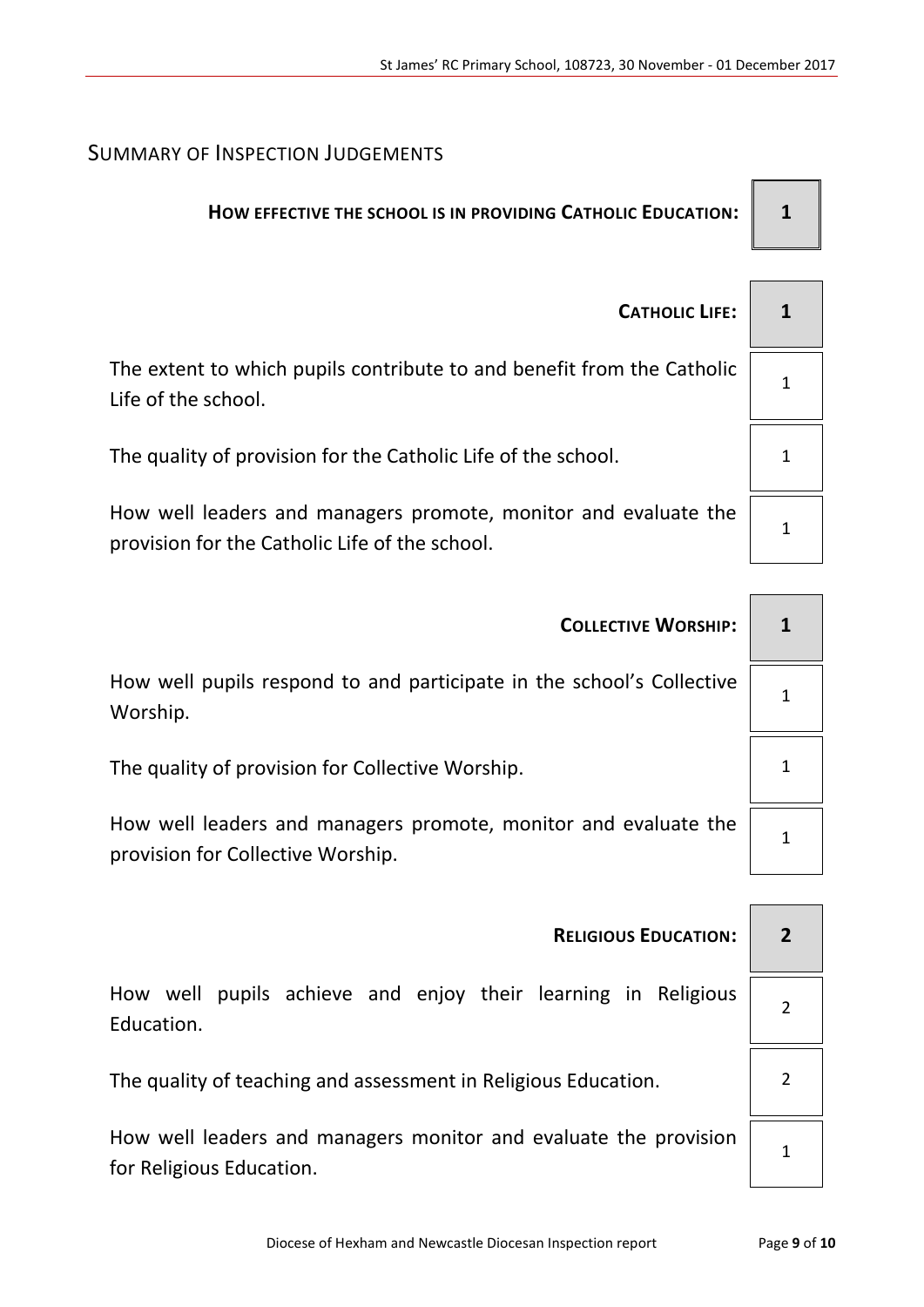### SUMMARY OF INSPECTION JUDGEMENTS

## **HOW EFFECTIVE THE SCHOOL IS IN PROVIDING CATHOLIC EDUCATION: 1**

| <b>CATHOLIC LIFE:</b>                                                                                             |  |
|-------------------------------------------------------------------------------------------------------------------|--|
| The extent to which pupils contribute to and benefit from the Catholic<br>Life of the school.                     |  |
| The quality of provision for the Catholic Life of the school.                                                     |  |
| How well leaders and managers promote, monitor and evaluate the<br>provision for the Catholic Life of the school. |  |

| <b>COLLECTIVE WORSHIP:</b>                                                                           |  |  |
|------------------------------------------------------------------------------------------------------|--|--|
| How well pupils respond to and participate in the school's Collective<br>Worship.                    |  |  |
| The quality of provision for Collective Worship.                                                     |  |  |
| How well leaders and managers promote, monitor and evaluate the<br>provision for Collective Worship. |  |  |
|                                                                                                      |  |  |
| <b>RELIGIOUS EDUCATION:</b>                                                                          |  |  |
| How well punils achieve and enjoy their learning in Peligious                                        |  |  |

How well pupils achieve and enjoy their learning in Religious Education.

The quality of teaching and assessment in Religious Education.  $\vert$  2

How well leaders and managers monitor and evaluate the provision for Religious Education.

1